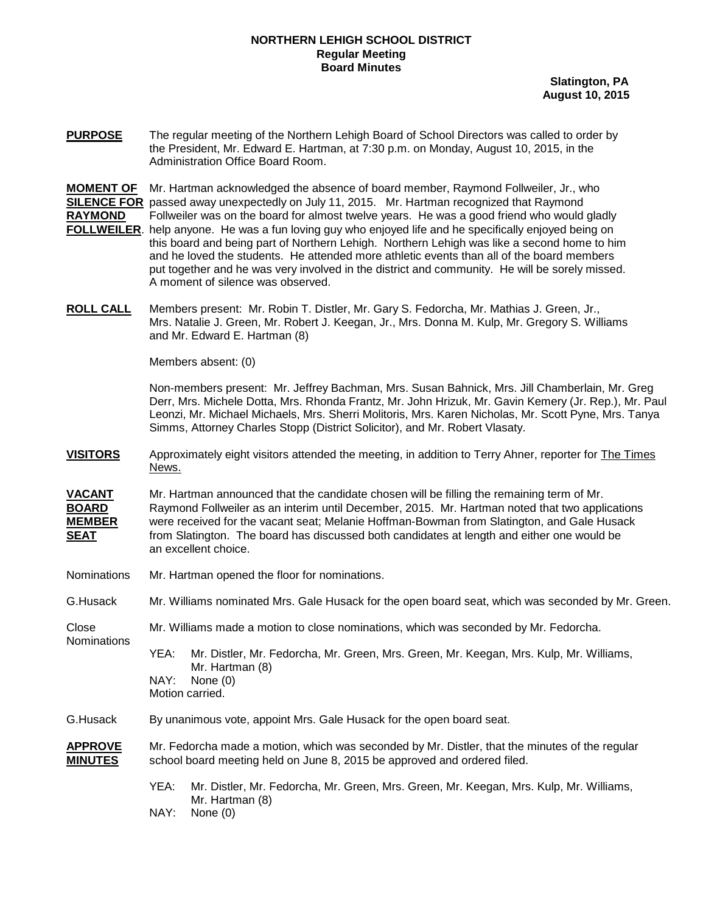### **NORTHERN LEHIGH SCHOOL DISTRICT Regular Meeting Board Minutes**

 **Slatington, PA August 10, 2015**

**PURPOSE** The regular meeting of the Northern Lehigh Board of School Directors was called to order by the President, Mr. Edward E. Hartman, at 7:30 p.m. on Monday, August 10, 2015, in the Administration Office Board Room.

**MOMENT OF** Mr. Hartman acknowledged the absence of board member, Raymond Follweiler, Jr., who **SILENCE FOR** passed away unexpectedly on July 11, 2015. Mr. Hartman recognized that Raymond **RAYMOND** Follweiler was on the board for almost twelve years. He was a good friend who would gladly **FOLLWEILER**. help anyone. He was a fun loving guy who enjoyed life and he specifically enjoyed being on and he loved the students. He attended more athletic events than all of the board members put together and he was very involved in the district and community. He will be sorely missed. A moment of silence was observed. this board and being part of Northern Lehigh. Northern Lehigh was like a second home to him

**ROLL CALL** Mrs. Natalie J. Green, Mr. Robert J. Keegan, Jr., Mrs. Donna M. Kulp, Mr. Gregory S. Williams Members present: Mr. Robin T. Distler, Mr. Gary S. Fedorcha, Mr. Mathias J. Green, Jr., and Mr. Edward E. Hartman (8)

Members absent: (0)

Non-members present: Mr. Jeffrey Bachman, Mrs. Susan Bahnick, Mrs. Jill Chamberlain, Mr. Greg Derr, Mrs. Michele Dotta, Mrs. Rhonda Frantz, Mr. John Hrizuk, Mr. Gavin Kemery (Jr. Rep.), Mr. Paul Leonzi, Mr. Michael Michaels, Mrs. Sherri Molitoris, Mrs. Karen Nicholas, Mr. Scott Pyne, Mrs. Tanya Simms, Attorney Charles Stopp (District Solicitor), and Mr. Robert Vlasaty.

**VISITORS** Approximately eight visitors attended the meeting, in addition to Terry Ahner, reporter for The Times News.

**VACANT** Mr. Hartman announced that the candidate chosen will be filling the remaining term of Mr. **BOARD** Raymond Follweiler as an interim until December, 2015. Mr. Hartman noted that two applications **MEMBER** were received for the vacant seat: Melanie Hoffman-Bowman from Slatington, and Gale Husack were received for the vacant seat; Melanie Hoffman-Bowman from Slatington, and Gale Husack **SEAT** an excellent choice. from Slatington. The board has discussed both candidates at length and either one would be

Nominations Mr. Hartman opened the floor for nominations.

G.Husack Mr. Williams nominated Mrs. Gale Husack for the open board seat, which was seconded by Mr. Green.

Close Mr. Williams made a motion to close nominations, which was seconded by Mr. Fedorcha.

**Nominations** YEA: Mr. Distler, Mr. Fedorcha, Mr. Green, Mrs. Green, Mr. Keegan, Mrs. Kulp, Mr. Williams, Mr. Hartman (8) NAY: None (0)

Motion carried.

G.Husack By unanimous vote, appoint Mrs. Gale Husack for the open board seat.

- **APPROVE** Mr. Fedorcha made a motion, which was seconded by Mr. Distler, that the minutes of the regular **MINUTES** school board meeting held on June 8, 2015 be approved and ordered filed.
	- YEA: Mr. Distler, Mr. Fedorcha, Mr. Green, Mrs. Green, Mr. Keegan, Mrs. Kulp, Mr. Williams, Mr. Hartman (8)
	- NAY: None (0)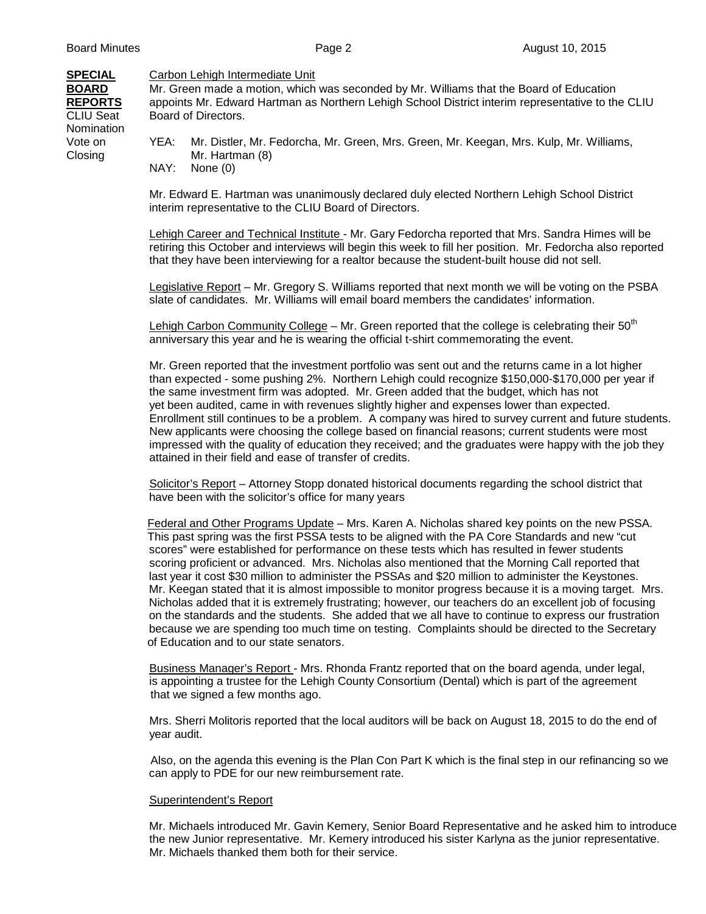#### **SPECIAL** Carbon Lehigh Intermediate Unit

**BOARD** Mr. Green made a motion, which was seconded by Mr. Williams that the Board of Education **REPORTS** appoints Mr. Edward Hartman as Northern Lehigh School District interim representative to the CLIU<br>CLIU Seat Board of Directors. Board of Directors.

**Nomination** 

Vote on YEA: Mr. Distler, Mr. Fedorcha, Mr. Green, Mrs. Green, Mr. Keegan, Mrs. Kulp, Mr. Williams, Closing Mr. Hartman (8) NAY: None (0)

> Mr. Edward E. Hartman was unanimously declared duly elected Northern Lehigh School District interim representative to the CLIU Board of Directors.

Lehigh Career and Technical Institute - Mr. Gary Fedorcha reported that Mrs. Sandra Himes will be retiring this October and interviews will begin this week to fill her position. Mr. Fedorcha also reported that they have been interviewing for a realtor because the student-built house did not sell.

Legislative Report – Mr. Gregory S. Williams reported that next month we will be voting on the PSBA slate of candidates. Mr. Williams will email board members the candidates' information.

Lehigh Carbon Community College – Mr. Green reported that the college is celebrating their  $50<sup>th</sup>$ anniversary this year and he is wearing the official t-shirt commemorating the event.

Mr. Green reported that the investment portfolio was sent out and the returns came in a lot higher than expected - some pushing 2%. Northern Lehigh could recognize \$150,000-\$170,000 per year if the same investment firm was adopted. Mr. Green added that the budget, which has not yet been audited, came in with revenues slightly higher and expenses lower than expected. Enrollment still continues to be a problem. A company was hired to survey current and future students. New applicants were choosing the college based on financial reasons; current students were most impressed with the quality of education they received; and the graduates were happy with the job they attained in their field and ease of transfer of credits.

Solicitor's Report – Attorney Stopp donated historical documents regarding the school district that have been with the solicitor's office for many years

Federal and Other Programs Update – Mrs. Karen A. Nicholas shared key points on the new PSSA. This past spring was the first PSSA tests to be aligned with the PA Core Standards and new "cut scores" were established for performance on these tests which has resulted in fewer students scoring proficient or advanced. Mrs. Nicholas also mentioned that the Morning Call reported that last year it cost \$30 million to administer the PSSAs and \$20 million to administer the Keystones. Mr. Keegan stated that it is almost impossible to monitor progress because it is a moving target. Mrs. Nicholas added that it is extremely frustrating; however, our teachers do an excellent job of focusing on the standards and the students. She added that we all have to continue to express our frustration because we are spending too much time on testing. Complaints should be directed to the Secretary of Education and to our state senators.

Business Manager's Report - Mrs. Rhonda Frantz reported that on the board agenda, under legal, is appointing a trustee for the Lehigh County Consortium (Dental) which is part of the agreement that we signed a few months ago.

Mrs. Sherri Molitoris reported that the local auditors will be back on August 18, 2015 to do the end of year audit.

 Also, on the agenda this evening is the Plan Con Part K which is the final step in our refinancing so we can apply to PDE for our new reimbursement rate.

#### Superintendent's Report

 Mr. Michaels introduced Mr. Gavin Kemery, Senior Board Representative and he asked him to introduce the new Junior representative. Mr. Kemery introduced his sister Karlyna as the junior representative. Mr. Michaels thanked them both for their service.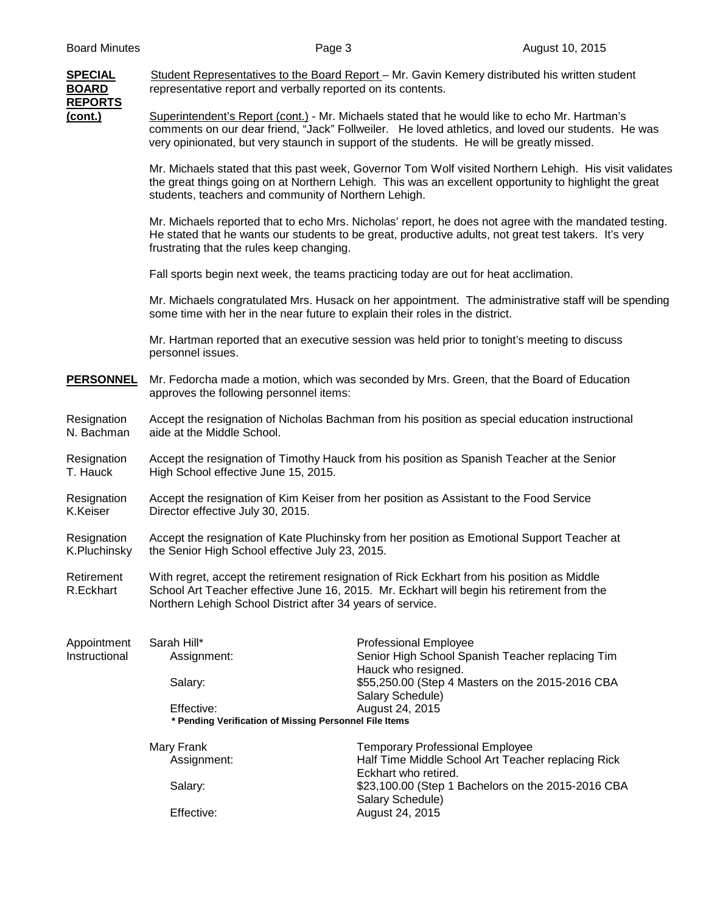| <b>SPECIAL</b><br><b>BOARD</b>                                                          | Student Representatives to the Board Report - Mr. Gavin Kemery distributed his written student<br>representative report and verbally reported on its contents.                                                                                         |                                                                                                                                                                                                                                                                                                   |  |
|-----------------------------------------------------------------------------------------|--------------------------------------------------------------------------------------------------------------------------------------------------------------------------------------------------------------------------------------------------------|---------------------------------------------------------------------------------------------------------------------------------------------------------------------------------------------------------------------------------------------------------------------------------------------------|--|
| <b>REPORTS</b><br>(cont.)                                                               |                                                                                                                                                                                                                                                        | Superintendent's Report (cont.) - Mr. Michaels stated that he would like to echo Mr. Hartman's<br>comments on our dear friend, "Jack" Follweiler. He loved athletics, and loved our students. He was<br>very opinionated, but very staunch in support of the students. He will be greatly missed. |  |
|                                                                                         | students, teachers and community of Northern Lehigh.                                                                                                                                                                                                   | Mr. Michaels stated that this past week, Governor Tom Wolf visited Northern Lehigh. His visit validates<br>the great things going on at Northern Lehigh. This was an excellent opportunity to highlight the great                                                                                 |  |
|                                                                                         | frustrating that the rules keep changing.                                                                                                                                                                                                              | Mr. Michaels reported that to echo Mrs. Nicholas' report, he does not agree with the mandated testing.<br>He stated that he wants our students to be great, productive adults, not great test takers. It's very                                                                                   |  |
|                                                                                         |                                                                                                                                                                                                                                                        | Fall sports begin next week, the teams practicing today are out for heat acclimation.                                                                                                                                                                                                             |  |
|                                                                                         | Mr. Michaels congratulated Mrs. Husack on her appointment. The administrative staff will be spending<br>some time with her in the near future to explain their roles in the district.                                                                  |                                                                                                                                                                                                                                                                                                   |  |
|                                                                                         | personnel issues.                                                                                                                                                                                                                                      | Mr. Hartman reported that an executive session was held prior to tonight's meeting to discuss                                                                                                                                                                                                     |  |
| <b>PERSONNEL</b>                                                                        | Mr. Fedorcha made a motion, which was seconded by Mrs. Green, that the Board of Education<br>approves the following personnel items:                                                                                                                   |                                                                                                                                                                                                                                                                                                   |  |
| Resignation<br>N. Bachman                                                               | Accept the resignation of Nicholas Bachman from his position as special education instructional<br>aide at the Middle School.                                                                                                                          |                                                                                                                                                                                                                                                                                                   |  |
| Resignation<br>T. Hauck                                                                 | Accept the resignation of Timothy Hauck from his position as Spanish Teacher at the Senior<br>High School effective June 15, 2015.                                                                                                                     |                                                                                                                                                                                                                                                                                                   |  |
| Resignation<br>K.Keiser                                                                 | Accept the resignation of Kim Keiser from her position as Assistant to the Food Service<br>Director effective July 30, 2015.                                                                                                                           |                                                                                                                                                                                                                                                                                                   |  |
| Resignation<br>K.Pluchinsky                                                             | Accept the resignation of Kate Pluchinsky from her position as Emotional Support Teacher at<br>the Senior High School effective July 23, 2015.                                                                                                         |                                                                                                                                                                                                                                                                                                   |  |
| Retirement<br>R.Eckhart                                                                 | With regret, accept the retirement resignation of Rick Eckhart from his position as Middle<br>School Art Teacher effective June 16, 2015. Mr. Eckhart will begin his retirement from the<br>Northern Lehigh School District after 34 years of service. |                                                                                                                                                                                                                                                                                                   |  |
| Appointment<br>Instructional                                                            | Sarah Hill*<br>Assignment:                                                                                                                                                                                                                             | <b>Professional Employee</b><br>Senior High School Spanish Teacher replacing Tim<br>Hauck who resigned.                                                                                                                                                                                           |  |
|                                                                                         | Salary:                                                                                                                                                                                                                                                | \$55,250.00 (Step 4 Masters on the 2015-2016 CBA<br>Salary Schedule)                                                                                                                                                                                                                              |  |
| Effective:<br>August 24, 2015<br>* Pending Verification of Missing Personnel File Items |                                                                                                                                                                                                                                                        |                                                                                                                                                                                                                                                                                                   |  |
|                                                                                         | Mary Frank<br>Assignment:                                                                                                                                                                                                                              | <b>Temporary Professional Employee</b><br>Half Time Middle School Art Teacher replacing Rick<br>Eckhart who retired.                                                                                                                                                                              |  |
|                                                                                         | Salary:                                                                                                                                                                                                                                                | \$23,100.00 (Step 1 Bachelors on the 2015-2016 CBA<br>Salary Schedule)                                                                                                                                                                                                                            |  |
|                                                                                         | Effective:                                                                                                                                                                                                                                             | August 24, 2015                                                                                                                                                                                                                                                                                   |  |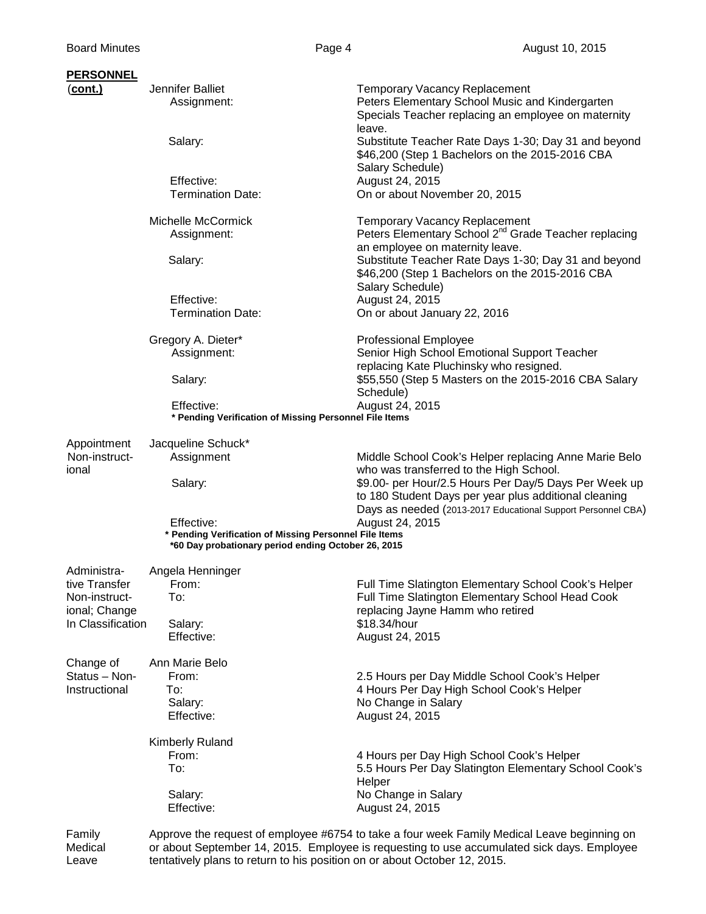## **PERSONNEL**

| <b>PERSONNEL</b>                                    |                                                                                                                             |                                                                                                                                                           |  |
|-----------------------------------------------------|-----------------------------------------------------------------------------------------------------------------------------|-----------------------------------------------------------------------------------------------------------------------------------------------------------|--|
| (cont.)                                             | Jennifer Balliet<br>Assignment:                                                                                             | <b>Temporary Vacancy Replacement</b><br>Peters Elementary School Music and Kindergarten<br>Specials Teacher replacing an employee on maternity<br>leave.  |  |
|                                                     | Salary:                                                                                                                     | Substitute Teacher Rate Days 1-30; Day 31 and beyond<br>\$46,200 (Step 1 Bachelors on the 2015-2016 CBA<br>Salary Schedule)                               |  |
|                                                     | Effective:<br><b>Termination Date:</b>                                                                                      | August 24, 2015<br>On or about November 20, 2015                                                                                                          |  |
|                                                     | Michelle McCormick<br>Assignment:                                                                                           | <b>Temporary Vacancy Replacement</b><br>Peters Elementary School 2 <sup>nd</sup> Grade Teacher replacing<br>an employee on maternity leave.               |  |
|                                                     | Salary:                                                                                                                     | Substitute Teacher Rate Days 1-30; Day 31 and beyond<br>\$46,200 (Step 1 Bachelors on the 2015-2016 CBA<br>Salary Schedule)                               |  |
|                                                     | Effective:<br><b>Termination Date:</b>                                                                                      | August 24, 2015<br>On or about January 22, 2016                                                                                                           |  |
|                                                     | Gregory A. Dieter*<br>Assignment:                                                                                           | <b>Professional Employee</b><br>Senior High School Emotional Support Teacher<br>replacing Kate Pluchinsky who resigned.                                   |  |
|                                                     | Salary:                                                                                                                     | \$55,550 (Step 5 Masters on the 2015-2016 CBA Salary<br>Schedule)                                                                                         |  |
|                                                     | August 24, 2015<br>Effective:<br>* Pending Verification of Missing Personnel File Items                                     |                                                                                                                                                           |  |
| Appointment<br>Non-instruct-<br>ional               | Jacqueline Schuck*<br>Assignment                                                                                            | Middle School Cook's Helper replacing Anne Marie Belo                                                                                                     |  |
|                                                     | Salary:                                                                                                                     | who was transferred to the High School.<br>\$9.00- per Hour/2.5 Hours Per Day/5 Days Per Week up<br>to 180 Student Days per year plus additional cleaning |  |
|                                                     | Effective:<br>* Pending Verification of Missing Personnel File Items<br>*60 Day probationary period ending October 26, 2015 | Days as needed (2013-2017 Educational Support Personnel CBA)<br>August 24, 2015                                                                           |  |
| Administra-<br>tive Transfer                        | Angela Henninger<br>From:<br>To:                                                                                            | Full Time Slatington Elementary School Cook's Helper<br>Full Time Slatington Elementary School Head Cook                                                  |  |
| Non-instruct-<br>ional; Change<br>In Classification | Salary:<br>Effective:                                                                                                       | replacing Jayne Hamm who retired<br>\$18.34/hour<br>August 24, 2015                                                                                       |  |
| Change of                                           | Ann Marie Belo                                                                                                              |                                                                                                                                                           |  |
| Status - Non-<br>Instructional                      | From:<br>To:<br>Salary:<br>Effective:                                                                                       | 2.5 Hours per Day Middle School Cook's Helper<br>4 Hours Per Day High School Cook's Helper<br>No Change in Salary<br>August 24, 2015                      |  |
|                                                     | <b>Kimberly Ruland</b><br>From:<br>To:                                                                                      | 4 Hours per Day High School Cook's Helper<br>5.5 Hours Per Day Slatington Elementary School Cook's                                                        |  |
|                                                     | Salary:<br>Effective:                                                                                                       | Helper<br>No Change in Salary<br>August 24, 2015                                                                                                          |  |
| Family                                              |                                                                                                                             | Approve the request of employee #6754 to take a four week Family Medical Leave beginning on                                                               |  |

Medical or about September 14, 2015. Employee is requesting to use accumulated sick days. Employee Leave tentatively plans to return to his position on or about October 12, 2015.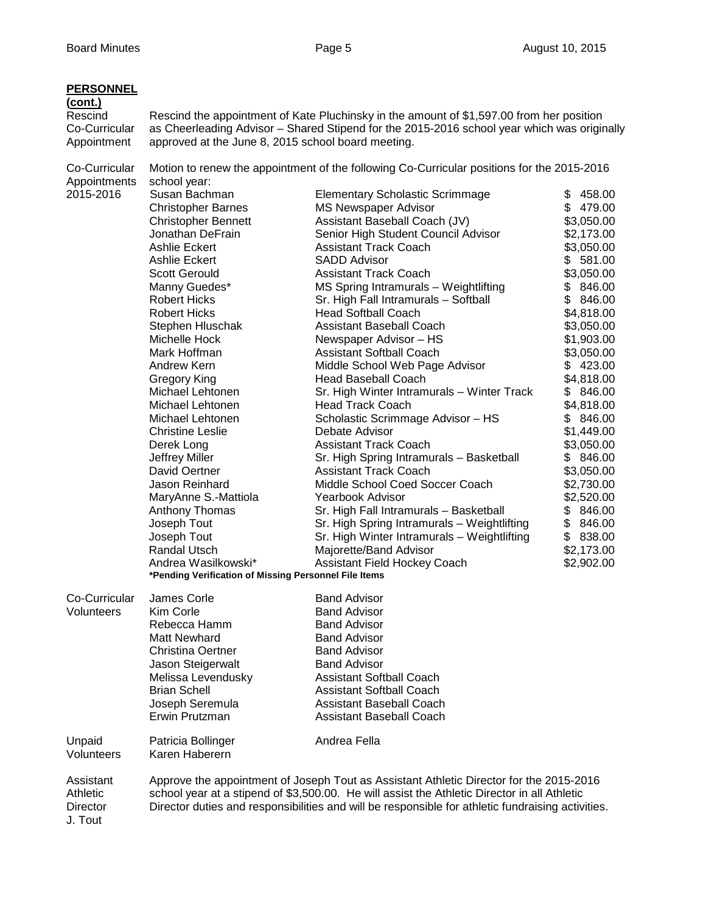| <b>PERSONNEL</b><br>(cont.)                  |                                                       |                                                                                                                                                                                                                                                                                              |                        |  |
|----------------------------------------------|-------------------------------------------------------|----------------------------------------------------------------------------------------------------------------------------------------------------------------------------------------------------------------------------------------------------------------------------------------------|------------------------|--|
| Rescind<br>Co-Curricular<br>Appointment      | approved at the June 8, 2015 school board meeting.    | Rescind the appointment of Kate Pluchinsky in the amount of \$1,597.00 from her position<br>as Cheerleading Advisor - Shared Stipend for the 2015-2016 school year which was originally                                                                                                      |                        |  |
| Co-Curricular<br>Appointments                | school year:                                          | Motion to renew the appointment of the following Co-Curricular positions for the 2015-2016                                                                                                                                                                                                   |                        |  |
| 2015-2016                                    | Susan Bachman                                         | <b>Elementary Scholastic Scrimmage</b>                                                                                                                                                                                                                                                       | \$458.00               |  |
|                                              | <b>Christopher Barnes</b>                             | <b>MS Newspaper Advisor</b>                                                                                                                                                                                                                                                                  | \$479.00               |  |
|                                              | <b>Christopher Bennett</b>                            | Assistant Baseball Coach (JV)                                                                                                                                                                                                                                                                | \$3,050.00             |  |
|                                              | Jonathan DeFrain                                      | Senior High Student Council Advisor                                                                                                                                                                                                                                                          | \$2,173.00             |  |
|                                              | Ashlie Eckert                                         | <b>Assistant Track Coach</b>                                                                                                                                                                                                                                                                 | \$3,050.00             |  |
|                                              | Ashlie Eckert                                         | <b>SADD Advisor</b>                                                                                                                                                                                                                                                                          | \$581.00               |  |
|                                              | <b>Scott Gerould</b>                                  | <b>Assistant Track Coach</b>                                                                                                                                                                                                                                                                 | \$3,050.00             |  |
|                                              | Manny Guedes*                                         | MS Spring Intramurals - Weightlifting                                                                                                                                                                                                                                                        | \$846.00               |  |
|                                              | <b>Robert Hicks</b>                                   | Sr. High Fall Intramurals - Softball                                                                                                                                                                                                                                                         | \$846.00               |  |
|                                              | <b>Robert Hicks</b>                                   | <b>Head Softball Coach</b>                                                                                                                                                                                                                                                                   | \$4,818.00             |  |
|                                              | Stephen Hluschak                                      | <b>Assistant Baseball Coach</b>                                                                                                                                                                                                                                                              | \$3,050.00             |  |
|                                              | Michelle Hock                                         | Newspaper Advisor - HS                                                                                                                                                                                                                                                                       | \$1,903.00             |  |
|                                              | Mark Hoffman                                          | <b>Assistant Softball Coach</b>                                                                                                                                                                                                                                                              | \$3,050.00             |  |
|                                              | Andrew Kern                                           | Middle School Web Page Advisor                                                                                                                                                                                                                                                               | \$423.00               |  |
|                                              | <b>Gregory King</b>                                   | <b>Head Baseball Coach</b>                                                                                                                                                                                                                                                                   | \$4,818.00             |  |
|                                              | Michael Lehtonen                                      | Sr. High Winter Intramurals - Winter Track                                                                                                                                                                                                                                                   | \$846.00               |  |
|                                              | Michael Lehtonen                                      | <b>Head Track Coach</b>                                                                                                                                                                                                                                                                      | \$4,818.00             |  |
|                                              | Michael Lehtonen                                      | Scholastic Scrimmage Advisor - HS                                                                                                                                                                                                                                                            | \$ 846.00              |  |
|                                              | <b>Christine Leslie</b>                               | Debate Advisor                                                                                                                                                                                                                                                                               | \$1,449.00             |  |
|                                              | Derek Long                                            | <b>Assistant Track Coach</b>                                                                                                                                                                                                                                                                 | \$3,050.00<br>\$846.00 |  |
|                                              | Jeffrey Miller<br>David Oertner                       | Sr. High Spring Intramurals - Basketball<br><b>Assistant Track Coach</b>                                                                                                                                                                                                                     | \$3,050.00             |  |
|                                              | Jason Reinhard                                        | Middle School Coed Soccer Coach                                                                                                                                                                                                                                                              | \$2,730.00             |  |
|                                              | MaryAnne S.-Mattiola                                  | Yearbook Advisor                                                                                                                                                                                                                                                                             | \$2,520.00             |  |
|                                              | Anthony Thomas                                        | Sr. High Fall Intramurals - Basketball                                                                                                                                                                                                                                                       | \$846.00               |  |
|                                              | Joseph Tout                                           | Sr. High Spring Intramurals - Weightlifting                                                                                                                                                                                                                                                  | \$846.00               |  |
|                                              | Joseph Tout                                           | Sr. High Winter Intramurals - Weightlifting                                                                                                                                                                                                                                                  | \$ 838.00              |  |
|                                              | <b>Randal Utsch</b>                                   | Majorette/Band Advisor                                                                                                                                                                                                                                                                       | \$2,173.00             |  |
|                                              | Andrea Wasilkowski*                                   | Assistant Field Hockey Coach                                                                                                                                                                                                                                                                 | \$2,902.00             |  |
|                                              | *Pending Verification of Missing Personnel File Items |                                                                                                                                                                                                                                                                                              |                        |  |
| Co-Curricular                                | James Corle                                           | <b>Band Advisor</b>                                                                                                                                                                                                                                                                          |                        |  |
| Volunteers                                   | Kim Corle                                             | <b>Band Advisor</b>                                                                                                                                                                                                                                                                          |                        |  |
|                                              | Rebecca Hamm                                          | <b>Band Advisor</b>                                                                                                                                                                                                                                                                          |                        |  |
|                                              | <b>Matt Newhard</b>                                   | <b>Band Advisor</b>                                                                                                                                                                                                                                                                          |                        |  |
|                                              | <b>Christina Oertner</b>                              | <b>Band Advisor</b>                                                                                                                                                                                                                                                                          |                        |  |
|                                              | Jason Steigerwalt                                     | <b>Band Advisor</b>                                                                                                                                                                                                                                                                          |                        |  |
|                                              | Melissa Levendusky                                    | <b>Assistant Softball Coach</b>                                                                                                                                                                                                                                                              |                        |  |
|                                              | <b>Brian Schell</b>                                   | <b>Assistant Softball Coach</b>                                                                                                                                                                                                                                                              |                        |  |
|                                              | Joseph Seremula<br>Erwin Prutzman                     | <b>Assistant Baseball Coach</b><br><b>Assistant Baseball Coach</b>                                                                                                                                                                                                                           |                        |  |
| Unpaid<br>Volunteers                         | Patricia Bollinger<br>Karen Haberern                  | Andrea Fella                                                                                                                                                                                                                                                                                 |                        |  |
| Assistant<br>Athletic<br>Director<br>J. Tout |                                                       | Approve the appointment of Joseph Tout as Assistant Athletic Director for the 2015-2016<br>school year at a stipend of \$3,500.00. He will assist the Athletic Director in all Athletic<br>Director duties and responsibilities and will be responsible for athletic fundraising activities. |                        |  |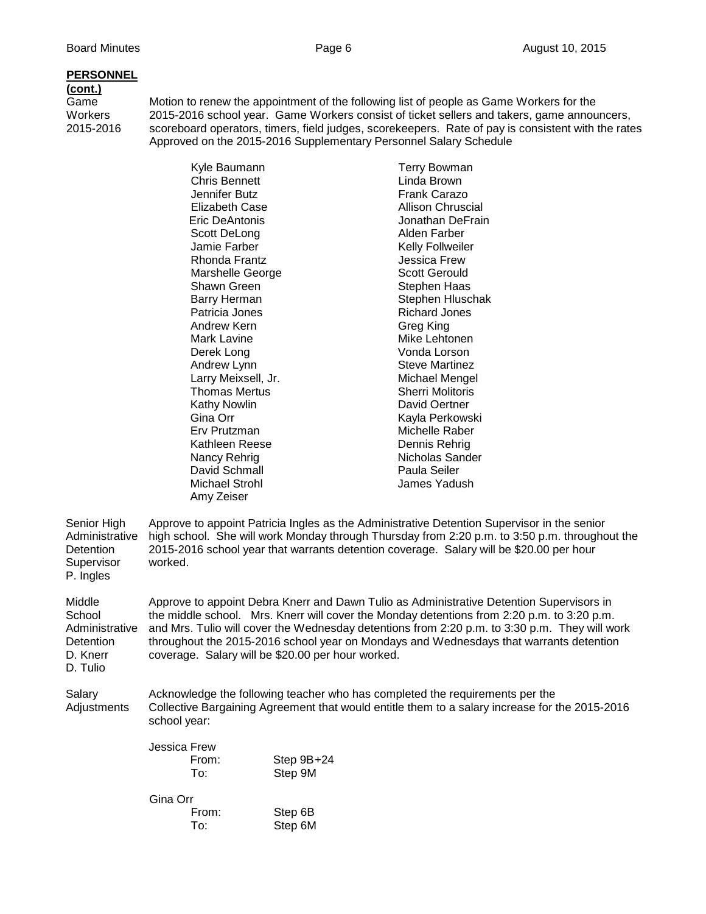## **PERSONNEL**

# **(cont.)**

Game Motion to renew the appointment of the following list of people as Game Workers for the<br>Workers 2015-2016 school year. Game Workers consist of ticket sellers and takers, game annou Workers 2015-2016 school year. Game Workers consist of ticket sellers and takers, game announcers,<br>2015-2016 scoreboard operators, timers, field judges, scorekeepers. Rate of pay is consistent with the rate scoreboard operators, timers, field judges, scorekeepers. Rate of pay is consistent with the rates Approved on the 2015-2016 Supplementary Personnel Salary Schedule

|                                                                         | Kyle Baumann<br>Chris Bennett                                                                                                                                                                                                                                                                                                                                                                                                          | Terry Bowman<br>Linda Brown |  |
|-------------------------------------------------------------------------|----------------------------------------------------------------------------------------------------------------------------------------------------------------------------------------------------------------------------------------------------------------------------------------------------------------------------------------------------------------------------------------------------------------------------------------|-----------------------------|--|
|                                                                         | Jennifer Butz                                                                                                                                                                                                                                                                                                                                                                                                                          | <b>Frank Carazo</b>         |  |
|                                                                         | Elizabeth Case                                                                                                                                                                                                                                                                                                                                                                                                                         | <b>Allison Chruscial</b>    |  |
|                                                                         | Eric DeAntonis                                                                                                                                                                                                                                                                                                                                                                                                                         | Jonathan DeFrain            |  |
|                                                                         | Scott DeLong                                                                                                                                                                                                                                                                                                                                                                                                                           | Alden Farber                |  |
|                                                                         | Jamie Farber                                                                                                                                                                                                                                                                                                                                                                                                                           | Kelly Follweiler            |  |
|                                                                         | Rhonda Frantz                                                                                                                                                                                                                                                                                                                                                                                                                          | Jessica Frew                |  |
|                                                                         | Marshelle George                                                                                                                                                                                                                                                                                                                                                                                                                       | <b>Scott Gerould</b>        |  |
|                                                                         | Shawn Green                                                                                                                                                                                                                                                                                                                                                                                                                            | Stephen Haas                |  |
|                                                                         | <b>Barry Herman</b>                                                                                                                                                                                                                                                                                                                                                                                                                    | Stephen Hluschak            |  |
|                                                                         | Patricia Jones                                                                                                                                                                                                                                                                                                                                                                                                                         | <b>Richard Jones</b>        |  |
|                                                                         | Andrew Kern                                                                                                                                                                                                                                                                                                                                                                                                                            | Greg King                   |  |
|                                                                         | Mark Lavine                                                                                                                                                                                                                                                                                                                                                                                                                            | Mike Lehtonen               |  |
|                                                                         | Derek Long                                                                                                                                                                                                                                                                                                                                                                                                                             | Vonda Lorson                |  |
|                                                                         | Andrew Lynn                                                                                                                                                                                                                                                                                                                                                                                                                            | <b>Steve Martinez</b>       |  |
|                                                                         | Larry Meixsell, Jr.                                                                                                                                                                                                                                                                                                                                                                                                                    | Michael Mengel              |  |
|                                                                         | <b>Thomas Mertus</b>                                                                                                                                                                                                                                                                                                                                                                                                                   | <b>Sherri Molitoris</b>     |  |
|                                                                         | Kathy Nowlin                                                                                                                                                                                                                                                                                                                                                                                                                           | David Oertner               |  |
|                                                                         | Gina Orr                                                                                                                                                                                                                                                                                                                                                                                                                               | Kayla Perkowski             |  |
|                                                                         | Erv Prutzman                                                                                                                                                                                                                                                                                                                                                                                                                           | Michelle Raber              |  |
|                                                                         | Kathleen Reese                                                                                                                                                                                                                                                                                                                                                                                                                         | Dennis Rehrig               |  |
|                                                                         | Nancy Rehrig                                                                                                                                                                                                                                                                                                                                                                                                                           | Nicholas Sander             |  |
|                                                                         | David Schmall                                                                                                                                                                                                                                                                                                                                                                                                                          | Paula Seiler                |  |
|                                                                         | Michael Strohl                                                                                                                                                                                                                                                                                                                                                                                                                         | James Yadush                |  |
|                                                                         | Amy Zeiser                                                                                                                                                                                                                                                                                                                                                                                                                             |                             |  |
| Senior High<br>Administrative<br>Detention<br>Supervisor<br>P. Ingles   | Approve to appoint Patricia Ingles as the Administrative Detention Supervisor in the senior<br>high school. She will work Monday through Thursday from 2:20 p.m. to 3:50 p.m. throughout the<br>2015-2016 school year that warrants detention coverage. Salary will be \$20.00 per hour<br>worked.                                                                                                                                     |                             |  |
| Middle<br>School<br>Administrative<br>Detention<br>D. Knerr<br>D. Tulio | Approve to appoint Debra Knerr and Dawn Tulio as Administrative Detention Supervisors in<br>the middle school. Mrs. Knerr will cover the Monday detentions from 2:20 p.m. to 3:20 p.m.<br>and Mrs. Tulio will cover the Wednesday detentions from 2:20 p.m. to 3:30 p.m. They will work<br>throughout the 2015-2016 school year on Mondays and Wednesdays that warrants detention<br>coverage. Salary will be \$20.00 per hour worked. |                             |  |
| Salary<br>Adjustments                                                   | Acknowledge the following teacher who has completed the requirements per the<br>Collective Bargaining Agreement that would entitle them to a salary increase for the 2015-2016<br>school year:                                                                                                                                                                                                                                         |                             |  |
|                                                                         |                                                                                                                                                                                                                                                                                                                                                                                                                                        |                             |  |

| Jessica Frew |            |
|--------------|------------|
| From:        | Step 9B+24 |
| To:          | Step 9M    |
| Gina Orr     |            |

| Jiha Uli |         |
|----------|---------|
| From:    | Step 6B |
| To:      | Step 6M |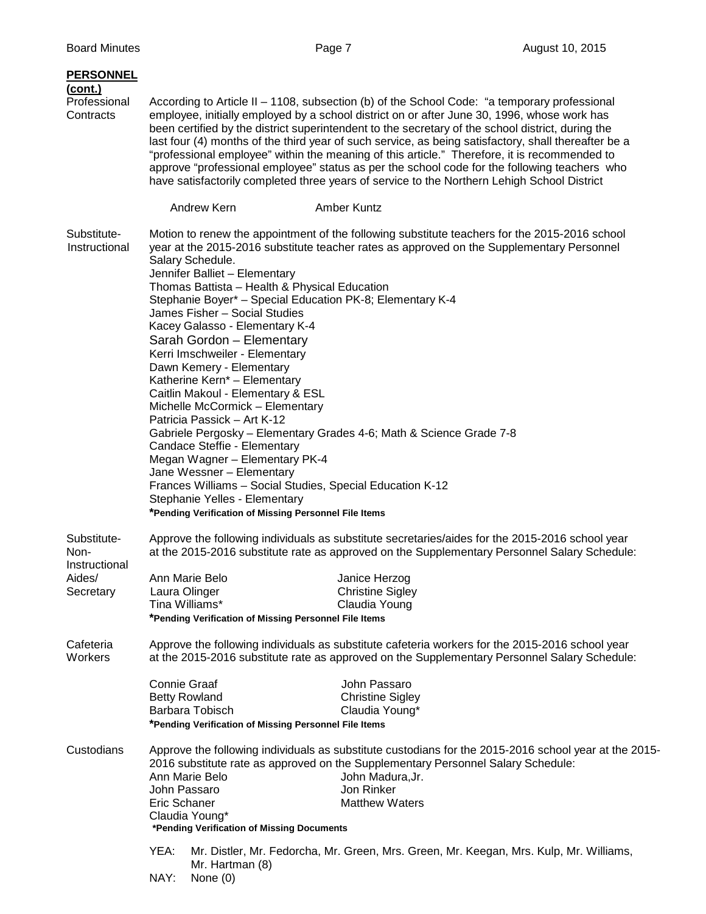| <b>PERSONNEL</b><br>(cont.)<br>Professional<br>Contracts                                                                                                                                                               |                                                                                                                                                                                                                                                                                                                                                                                                                                                                                                                                                                                                                                                                                                                            | According to Article II - 1108, subsection (b) of the School Code: "a temporary professional<br>employee, initially employed by a school district on or after June 30, 1996, whose work has<br>been certified by the district superintendent to the secretary of the school district, during the<br>last four (4) months of the third year of such service, as being satisfactory, shall thereafter be a<br>"professional employee" within the meaning of this article." Therefore, it is recommended to<br>approve "professional employee" status as per the school code for the following teachers who<br>have satisfactorily completed three years of service to the Northern Lehigh School District |
|------------------------------------------------------------------------------------------------------------------------------------------------------------------------------------------------------------------------|----------------------------------------------------------------------------------------------------------------------------------------------------------------------------------------------------------------------------------------------------------------------------------------------------------------------------------------------------------------------------------------------------------------------------------------------------------------------------------------------------------------------------------------------------------------------------------------------------------------------------------------------------------------------------------------------------------------------------|---------------------------------------------------------------------------------------------------------------------------------------------------------------------------------------------------------------------------------------------------------------------------------------------------------------------------------------------------------------------------------------------------------------------------------------------------------------------------------------------------------------------------------------------------------------------------------------------------------------------------------------------------------------------------------------------------------|
|                                                                                                                                                                                                                        | Andrew Kern                                                                                                                                                                                                                                                                                                                                                                                                                                                                                                                                                                                                                                                                                                                | Amber Kuntz                                                                                                                                                                                                                                                                                                                                                                                                                                                                                                                                                                                                                                                                                             |
| Substitute-<br>Instructional                                                                                                                                                                                           | Salary Schedule.<br>Jennifer Balliet - Elementary<br>Thomas Battista - Health & Physical Education<br>Stephanie Boyer* - Special Education PK-8; Elementary K-4<br>James Fisher - Social Studies<br>Kacey Galasso - Elementary K-4<br>Sarah Gordon - Elementary<br>Kerri Imschweiler - Elementary<br>Dawn Kemery - Elementary<br>Katherine Kern* - Elementary<br>Caitlin Makoul - Elementary & ESL<br>Michelle McCormick - Elementary<br>Patricia Passick – Art K-12<br>Candace Steffie - Elementary<br>Megan Wagner - Elementary PK-4<br>Jane Wessner - Elementary<br>Frances Williams - Social Studies, Special Education K-12<br>Stephanie Yelles - Elementary<br>*Pending Verification of Missing Personnel File Items | Motion to renew the appointment of the following substitute teachers for the 2015-2016 school<br>year at the 2015-2016 substitute teacher rates as approved on the Supplementary Personnel<br>Gabriele Pergosky - Elementary Grades 4-6; Math & Science Grade 7-8                                                                                                                                                                                                                                                                                                                                                                                                                                       |
| Substitute-<br>Approve the following individuals as substitute secretaries/aides for the 2015-2016 school year<br>at the 2015-2016 substitute rate as approved on the Supplementary Personnel Salary Schedule:<br>Non- |                                                                                                                                                                                                                                                                                                                                                                                                                                                                                                                                                                                                                                                                                                                            |                                                                                                                                                                                                                                                                                                                                                                                                                                                                                                                                                                                                                                                                                                         |
| Instructional<br>Aides/<br>Secretary                                                                                                                                                                                   | Ann Marie Belo<br>Laura Olinger<br>Tina Williams*<br>*Pending Verification of Missing Personnel File Items                                                                                                                                                                                                                                                                                                                                                                                                                                                                                                                                                                                                                 | Janice Herzog<br><b>Christine Sigley</b><br>Claudia Young                                                                                                                                                                                                                                                                                                                                                                                                                                                                                                                                                                                                                                               |
| Cafeteria<br>Workers                                                                                                                                                                                                   | Approve the following individuals as substitute cafeteria workers for the 2015-2016 school year<br>at the 2015-2016 substitute rate as approved on the Supplementary Personnel Salary Schedule:                                                                                                                                                                                                                                                                                                                                                                                                                                                                                                                            |                                                                                                                                                                                                                                                                                                                                                                                                                                                                                                                                                                                                                                                                                                         |
|                                                                                                                                                                                                                        | <b>Connie Graaf</b><br><b>Betty Rowland</b><br>Barbara Tobisch<br>*Pending Verification of Missing Personnel File Items                                                                                                                                                                                                                                                                                                                                                                                                                                                                                                                                                                                                    | John Passaro<br><b>Christine Sigley</b><br>Claudia Young*                                                                                                                                                                                                                                                                                                                                                                                                                                                                                                                                                                                                                                               |
| Custodians                                                                                                                                                                                                             | Ann Marie Belo<br>John Passaro<br>Eric Schaner<br>Claudia Young*<br>*Pending Verification of Missing Documents<br>YEA:<br>Mr. Hartman (8)<br>NAY:<br>None $(0)$                                                                                                                                                                                                                                                                                                                                                                                                                                                                                                                                                            | Approve the following individuals as substitute custodians for the 2015-2016 school year at the 2015-<br>2016 substitute rate as approved on the Supplementary Personnel Salary Schedule:<br>John Madura, Jr.<br>Jon Rinker<br><b>Matthew Waters</b><br>Mr. Distler, Mr. Fedorcha, Mr. Green, Mrs. Green, Mr. Keegan, Mrs. Kulp, Mr. Williams,                                                                                                                                                                                                                                                                                                                                                          |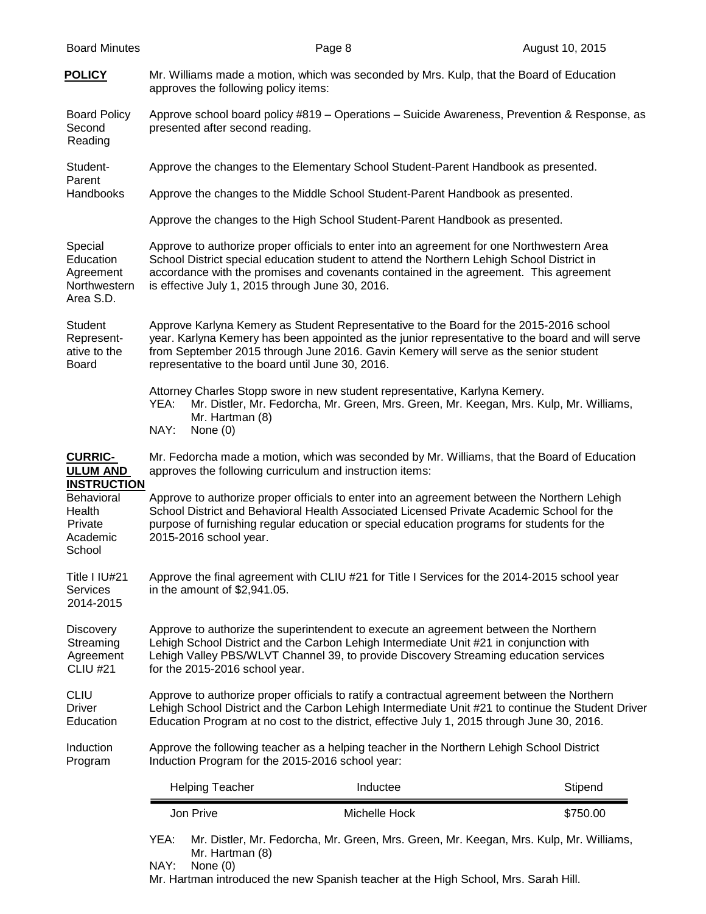|                                                                                                | YEA:<br>Mr. Hartman (8)                                                                                                                                                                                                                                                                                  | Mr. Distler, Mr. Fedorcha, Mr. Green, Mrs. Green, Mr. Keegan, Mrs. Kulp, Mr. Williams,                                                                                                                                                                                                  |          |
|------------------------------------------------------------------------------------------------|----------------------------------------------------------------------------------------------------------------------------------------------------------------------------------------------------------------------------------------------------------------------------------------------------------|-----------------------------------------------------------------------------------------------------------------------------------------------------------------------------------------------------------------------------------------------------------------------------------------|----------|
|                                                                                                | Jon Prive                                                                                                                                                                                                                                                                                                | Michelle Hock                                                                                                                                                                                                                                                                           | \$750.00 |
|                                                                                                | <b>Helping Teacher</b>                                                                                                                                                                                                                                                                                   | Inductee                                                                                                                                                                                                                                                                                | Stipend  |
| Induction<br>Program                                                                           | Approve the following teacher as a helping teacher in the Northern Lehigh School District<br>Induction Program for the 2015-2016 school year:                                                                                                                                                            |                                                                                                                                                                                                                                                                                         |          |
| <b>CLIU</b><br><b>Driver</b><br>Education                                                      | Approve to authorize proper officials to ratify a contractual agreement between the Northern<br>Lehigh School District and the Carbon Lehigh Intermediate Unit #21 to continue the Student Driver<br>Education Program at no cost to the district, effective July 1, 2015 through June 30, 2016.         |                                                                                                                                                                                                                                                                                         |          |
| <b>Discovery</b><br>Streaming<br>Agreement<br><b>CLIU #21</b>                                  | Approve to authorize the superintendent to execute an agreement between the Northern<br>Lehigh School District and the Carbon Lehigh Intermediate Unit #21 in conjunction with<br>Lehigh Valley PBS/WLVT Channel 39, to provide Discovery Streaming education services<br>for the 2015-2016 school year. |                                                                                                                                                                                                                                                                                         |          |
| Title I IU#21<br>Services<br>2014-2015                                                         | Approve the final agreement with CLIU #21 for Title I Services for the 2014-2015 school year<br>in the amount of $$2,941.05$ .                                                                                                                                                                           |                                                                                                                                                                                                                                                                                         |          |
| <b>ULUM AND</b><br><b>INSTRUCTION</b><br>Behavioral<br>Health<br>Private<br>Academic<br>School | approves the following curriculum and instruction items:<br>2015-2016 school year.                                                                                                                                                                                                                       | Approve to authorize proper officials to enter into an agreement between the Northern Lehigh<br>School District and Behavioral Health Associated Licensed Private Academic School for the<br>purpose of furnishing regular education or special education programs for students for the |          |
| <b>CURRIC-</b>                                                                                 | YEA:<br>Mr. Hartman (8)<br>NAY:<br>None $(0)$                                                                                                                                                                                                                                                            | Attorney Charles Stopp swore in new student representative, Karlyna Kemery.<br>Mr. Distler, Mr. Fedorcha, Mr. Green, Mrs. Green, Mr. Keegan, Mrs. Kulp, Mr. Williams,<br>Mr. Fedorcha made a motion, which was seconded by Mr. Williams, that the Board of Education                    |          |
| Student<br>Represent-<br>ative to the<br>Board                                                 | representative to the board until June 30, 2016.                                                                                                                                                                                                                                                         | Approve Karlyna Kemery as Student Representative to the Board for the 2015-2016 school<br>year. Karlyna Kemery has been appointed as the junior representative to the board and will serve<br>from September 2015 through June 2016. Gavin Kemery will serve as the senior student      |          |
| Special<br>Education<br>Agreement<br>Northwestern<br>Area S.D.                                 | is effective July 1, 2015 through June 30, 2016.                                                                                                                                                                                                                                                         | Approve to authorize proper officials to enter into an agreement for one Northwestern Area<br>School District special education student to attend the Northern Lehigh School District in<br>accordance with the promises and covenants contained in the agreement. This agreement       |          |
|                                                                                                |                                                                                                                                                                                                                                                                                                          | Approve the changes to the High School Student-Parent Handbook as presented.                                                                                                                                                                                                            |          |
| Parent<br>Handbooks                                                                            | Approve the changes to the Middle School Student-Parent Handbook as presented.                                                                                                                                                                                                                           |                                                                                                                                                                                                                                                                                         |          |
| Student-                                                                                       |                                                                                                                                                                                                                                                                                                          | Approve the changes to the Elementary School Student-Parent Handbook as presented.                                                                                                                                                                                                      |          |
| <b>Board Policy</b><br>Second<br>Reading                                                       | presented after second reading.                                                                                                                                                                                                                                                                          | Approve school board policy #819 - Operations - Suicide Awareness, Prevention & Response, as                                                                                                                                                                                            |          |
| <b>POLICY</b>                                                                                  | approves the following policy items:                                                                                                                                                                                                                                                                     | Mr. Williams made a motion, which was seconded by Mrs. Kulp, that the Board of Education                                                                                                                                                                                                |          |

NAY: None (0)

Mr. Hartman introduced the new Spanish teacher at the High School, Mrs. Sarah Hill.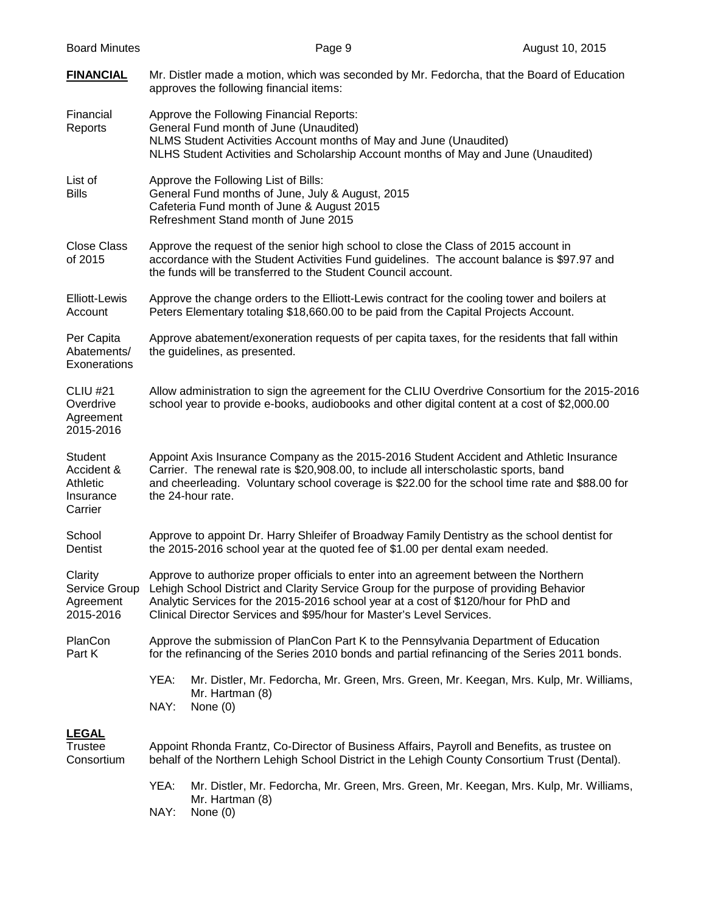| <b>Board Minutes</b>                                      | Page 9                                                                                                                                                                                                                                                                                                                                          | August 10, 2015 |  |
|-----------------------------------------------------------|-------------------------------------------------------------------------------------------------------------------------------------------------------------------------------------------------------------------------------------------------------------------------------------------------------------------------------------------------|-----------------|--|
| <b>FINANCIAL</b>                                          | Mr. Distler made a motion, which was seconded by Mr. Fedorcha, that the Board of Education<br>approves the following financial items:                                                                                                                                                                                                           |                 |  |
| Financial<br>Reports                                      | Approve the Following Financial Reports:<br>General Fund month of June (Unaudited)<br>NLMS Student Activities Account months of May and June (Unaudited)<br>NLHS Student Activities and Scholarship Account months of May and June (Unaudited)                                                                                                  |                 |  |
| List of<br><b>Bills</b>                                   | Approve the Following List of Bills:<br>General Fund months of June, July & August, 2015<br>Cafeteria Fund month of June & August 2015<br>Refreshment Stand month of June 2015                                                                                                                                                                  |                 |  |
| <b>Close Class</b><br>of 2015                             | Approve the request of the senior high school to close the Class of 2015 account in<br>accordance with the Student Activities Fund guidelines. The account balance is \$97.97 and<br>the funds will be transferred to the Student Council account.                                                                                              |                 |  |
| <b>Elliott-Lewis</b><br>Account                           | Approve the change orders to the Elliott-Lewis contract for the cooling tower and boilers at<br>Peters Elementary totaling \$18,660.00 to be paid from the Capital Projects Account.                                                                                                                                                            |                 |  |
| Per Capita<br>Abatements/<br>Exonerations                 | Approve abatement/exoneration requests of per capita taxes, for the residents that fall within<br>the guidelines, as presented.                                                                                                                                                                                                                 |                 |  |
| <b>CLIU #21</b><br>Overdrive<br>Agreement<br>2015-2016    | Allow administration to sign the agreement for the CLIU Overdrive Consortium for the 2015-2016<br>school year to provide e-books, audiobooks and other digital content at a cost of \$2,000.00                                                                                                                                                  |                 |  |
| Student<br>Accident &<br>Athletic<br>Insurance<br>Carrier | Appoint Axis Insurance Company as the 2015-2016 Student Accident and Athletic Insurance<br>Carrier. The renewal rate is \$20,908.00, to include all interscholastic sports, band<br>and cheerleading. Voluntary school coverage is \$22.00 for the school time rate and \$88.00 for<br>the 24-hour rate.                                        |                 |  |
| School<br>Dentist                                         | Approve to appoint Dr. Harry Shleifer of Broadway Family Dentistry as the school dentist for<br>the 2015-2016 school year at the quoted fee of \$1.00 per dental exam needed.                                                                                                                                                                   |                 |  |
| Clarity<br>Service Group<br>Agreement<br>2015-2016        | Approve to authorize proper officials to enter into an agreement between the Northern<br>Lehigh School District and Clarity Service Group for the purpose of providing Behavior<br>Analytic Services for the 2015-2016 school year at a cost of \$120/hour for PhD and<br>Clinical Director Services and \$95/hour for Master's Level Services. |                 |  |
| PlanCon<br>Part K                                         | Approve the submission of PlanCon Part K to the Pennsylvania Department of Education<br>for the refinancing of the Series 2010 bonds and partial refinancing of the Series 2011 bonds.                                                                                                                                                          |                 |  |
|                                                           | YEA:<br>Mr. Distler, Mr. Fedorcha, Mr. Green, Mrs. Green, Mr. Keegan, Mrs. Kulp, Mr. Williams,<br>Mr. Hartman (8)<br>NAY:<br>None $(0)$                                                                                                                                                                                                         |                 |  |
| <b>LEGAL</b><br>Trustee<br>Consortium                     | Appoint Rhonda Frantz, Co-Director of Business Affairs, Payroll and Benefits, as trustee on<br>behalf of the Northern Lehigh School District in the Lehigh County Consortium Trust (Dental).                                                                                                                                                    |                 |  |
|                                                           | YEA:<br>Mr. Distler, Mr. Fedorcha, Mr. Green, Mrs. Green, Mr. Keegan, Mrs. Kulp, Mr. Williams,<br>Mr. Hartman (8)<br>NAY:<br>None $(0)$                                                                                                                                                                                                         |                 |  |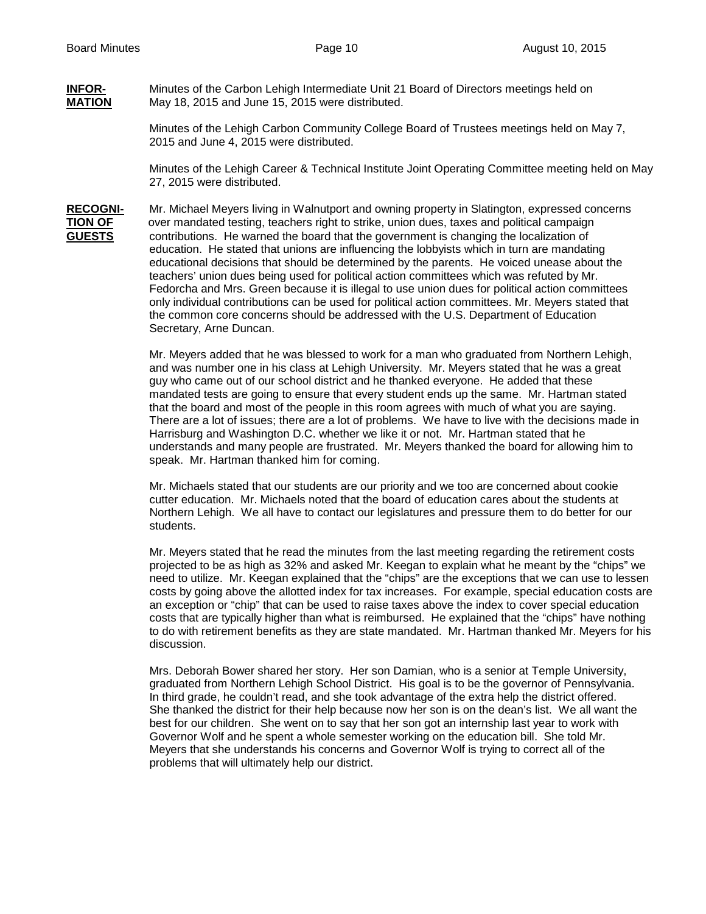# **INFOR-** Minutes of the Carbon Lehigh Intermediate Unit 21 Board of Directors meetings held on<br>**MATION** Mav 18. 2015 and June 15, 2015 were distributed. May 18, 2015 and June 15, 2015 were distributed.

Minutes of the Lehigh Carbon Community College Board of Trustees meetings held on May 7, 2015 and June 4, 2015 were distributed.

Minutes of the Lehigh Career & Technical Institute Joint Operating Committee meeting held on May 27, 2015 were distributed.

**RECOGNI-** Mr. Michael Meyers living in Walnutport and owning property in Slatington, expressed concerns **TION OF** over mandated testing, teachers right to strike, union dues, taxes and political campaign<br>**GUESTS** contributions. He warned the board that the government is changing the localization of **GUESTS** contributions. He warned the board that the government is changing the localization of education. He stated that unions are influencing the lobbyists which in turn are mandating educational decisions that should be determined by the parents. He voiced unease about the teachers' union dues being used for political action committees which was refuted by Mr. Fedorcha and Mrs. Green because it is illegal to use union dues for political action committees only individual contributions can be used for political action committees. Mr. Meyers stated that the common core concerns should be addressed with the U.S. Department of Education Secretary, Arne Duncan.

> Mr. Meyers added that he was blessed to work for a man who graduated from Northern Lehigh, and was number one in his class at Lehigh University. Mr. Meyers stated that he was a great guy who came out of our school district and he thanked everyone. He added that these mandated tests are going to ensure that every student ends up the same. Mr. Hartman stated that the board and most of the people in this room agrees with much of what you are saying. There are a lot of issues; there are a lot of problems. We have to live with the decisions made in Harrisburg and Washington D.C. whether we like it or not. Mr. Hartman stated that he understands and many people are frustrated. Mr. Meyers thanked the board for allowing him to speak. Mr. Hartman thanked him for coming.

Mr. Michaels stated that our students are our priority and we too are concerned about cookie cutter education. Mr. Michaels noted that the board of education cares about the students at Northern Lehigh. We all have to contact our legislatures and pressure them to do better for our students.

Mr. Meyers stated that he read the minutes from the last meeting regarding the retirement costs projected to be as high as 32% and asked Mr. Keegan to explain what he meant by the "chips" we need to utilize. Mr. Keegan explained that the "chips" are the exceptions that we can use to lessen costs by going above the allotted index for tax increases. For example, special education costs are an exception or "chip" that can be used to raise taxes above the index to cover special education costs that are typically higher than what is reimbursed. He explained that the "chips" have nothing to do with retirement benefits as they are state mandated. Mr. Hartman thanked Mr. Meyers for his discussion.

Mrs. Deborah Bower shared her story. Her son Damian, who is a senior at Temple University, graduated from Northern Lehigh School District. His goal is to be the governor of Pennsylvania. In third grade, he couldn't read, and she took advantage of the extra help the district offered. She thanked the district for their help because now her son is on the dean's list. We all want the best for our children. She went on to say that her son got an internship last year to work with Governor Wolf and he spent a whole semester working on the education bill. She told Mr. Meyers that she understands his concerns and Governor Wolf is trying to correct all of the problems that will ultimately help our district.